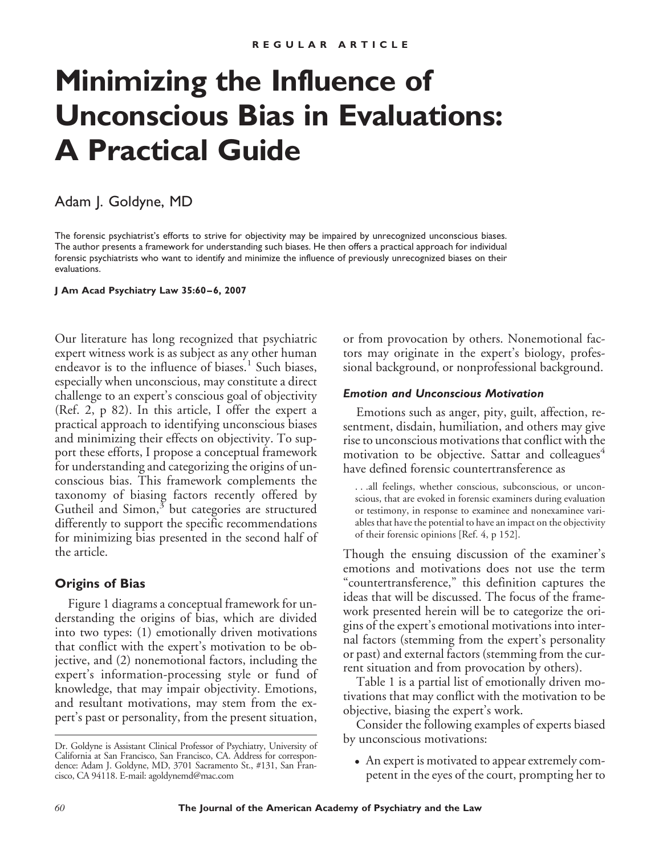# **Minimizing the Influence of Unconscious Bias in Evaluations: A Practical Guide**

## Adam J. Goldyne, MD

The forensic psychiatrist's efforts to strive for objectivity may be impaired by unrecognized unconscious biases. The author presents a framework for understanding such biases. He then offers a practical approach for individual forensic psychiatrists who want to identify and minimize the influence of previously unrecognized biases on their evaluations.

### **J Am Acad Psychiatry Law 35:60 – 6, 2007**

Our literature has long recognized that psychiatric expert witness work is as subject as any other human endeavor is to the influence of biases.<sup>1</sup> Such biases, especially when unconscious, may constitute a direct challenge to an expert's conscious goal of objectivity (Ref. 2, p 82). In this article, I offer the expert a practical approach to identifying unconscious biases and minimizing their effects on objectivity. To support these efforts, I propose a conceptual framework for understanding and categorizing the origins of unconscious bias. This framework complements the taxonomy of biasing factors recently offered by Gutheil and Simon, $3$  but categories are structured differently to support the specific recommendations for minimizing bias presented in the second half of the article.

## **Origins of Bias**

Figure 1 diagrams a conceptual framework for understanding the origins of bias, which are divided into two types: (1) emotionally driven motivations that conflict with the expert's motivation to be objective, and (2) nonemotional factors, including the expert's information-processing style or fund of knowledge, that may impair objectivity. Emotions, and resultant motivations, may stem from the expert's past or personality, from the present situation, or from provocation by others. Nonemotional factors may originate in the expert's biology, professional background, or nonprofessional background.

## *Emotion and Unconscious Motivation*

Emotions such as anger, pity, guilt, affection, resentment, disdain, humiliation, and others may give rise to unconscious motivations that conflict with the motivation to be objective. Sattar and colleagues<sup>4</sup> have defined forensic countertransference as

. . .all feelings, whether conscious, subconscious, or unconscious, that are evoked in forensic examiners during evaluation or testimony, in response to examinee and nonexaminee variables that have the potential to have an impact on the objectivity of their forensic opinions [Ref. 4, p 152].

Though the ensuing discussion of the examiner's emotions and motivations does not use the term "countertransference," this definition captures the ideas that will be discussed. The focus of the framework presented herein will be to categorize the origins of the expert's emotional motivations into internal factors (stemming from the expert's personality or past) and external factors (stemming from the current situation and from provocation by others).

Table 1 is a partial list of emotionally driven motivations that may conflict with the motivation to be objective, biasing the expert's work.

Consider the following examples of experts biased by unconscious motivations:

• An expert is motivated to appear extremely competent in the eyes of the court, prompting her to

Dr. Goldyne is Assistant Clinical Professor of Psychiatry, University of California at San Francisco, San Francisco, CA. Address for correspondence: Adam J. Goldyne, MD, 3701 Sacramento St., #131, San Francisco, CA 94118. E-mail: agoldynemd@mac.com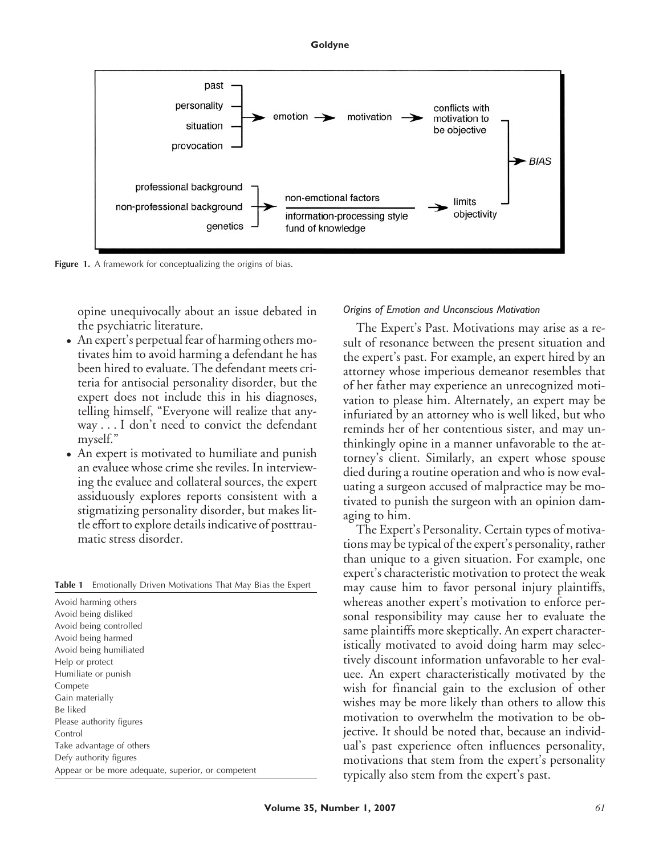#### **Goldyne**



Figure 1. A framework for conceptualizing the origins of bias.

opine unequivocally about an issue debated in the psychiatric literature.

- An expert's perpetual fear of harming others motivates him to avoid harming a defendant he has been hired to evaluate. The defendant meets criteria for antisocial personality disorder, but the expert does not include this in his diagnoses, telling himself, "Everyone will realize that anyway . . . I don't need to convict the defendant myself."
- An expert is motivated to humiliate and punish an evaluee whose crime she reviles. In interviewing the evaluee and collateral sources, the expert assiduously explores reports consistent with a stigmatizing personality disorder, but makes little effort to explore details indicative of posttraumatic stress disorder.

**Table 1** Emotionally Driven Motivations That May Bias the Expert

| Avoid harming others                               |
|----------------------------------------------------|
| Avoid being disliked                               |
| Avoid being controlled                             |
| Avoid being harmed                                 |
| Avoid being humiliated                             |
| Help or protect                                    |
| Humiliate or punish                                |
| Compete                                            |
| Gain materially                                    |
| Be liked                                           |
| Please authority figures                           |
| Control                                            |
| Take advantage of others                           |
| Defy authority figures                             |
| Appear or be more adequate, superior, or competent |
|                                                    |

#### *Origins of Emotion and Unconscious Motivation*

The Expert's Past. Motivations may arise as a result of resonance between the present situation and the expert's past. For example, an expert hired by an attorney whose imperious demeanor resembles that of her father may experience an unrecognized motivation to please him. Alternately, an expert may be infuriated by an attorney who is well liked, but who reminds her of her contentious sister, and may unthinkingly opine in a manner unfavorable to the attorney's client. Similarly, an expert whose spouse died during a routine operation and who is now evaluating a surgeon accused of malpractice may be motivated to punish the surgeon with an opinion damaging to him.

The Expert's Personality. Certain types of motivations may be typical of the expert's personality, rather than unique to a given situation. For example, one expert's characteristic motivation to protect the weak may cause him to favor personal injury plaintiffs, whereas another expert's motivation to enforce personal responsibility may cause her to evaluate the same plaintiffs more skeptically. An expert characteristically motivated to avoid doing harm may selectively discount information unfavorable to her evaluee. An expert characteristically motivated by the wish for financial gain to the exclusion of other wishes may be more likely than others to allow this motivation to overwhelm the motivation to be objective. It should be noted that, because an individual's past experience often influences personality, motivations that stem from the expert's personality typically also stem from the expert's past.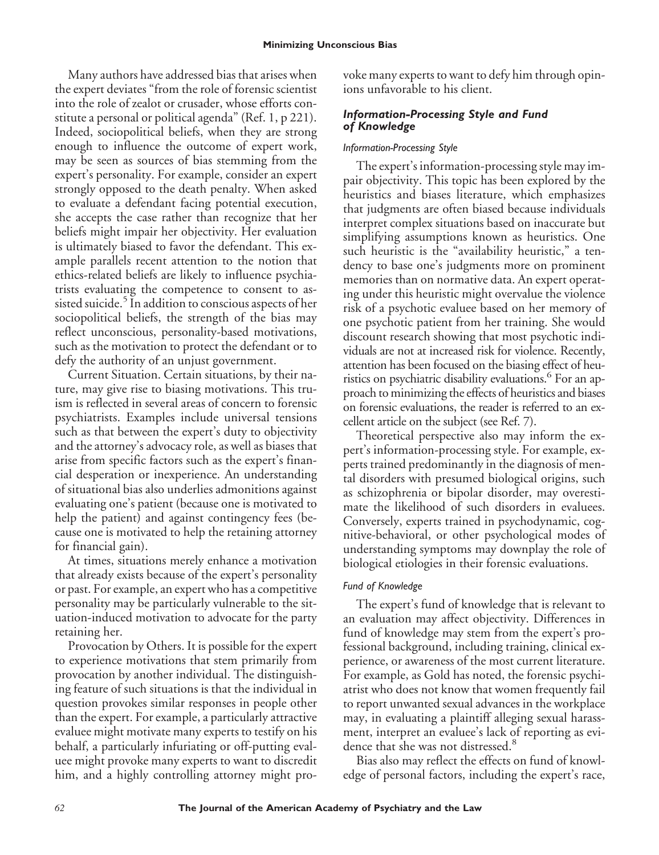Many authors have addressed bias that arises when the expert deviates "from the role of forensic scientist into the role of zealot or crusader, whose efforts constitute a personal or political agenda" (Ref. 1, p 221). Indeed, sociopolitical beliefs, when they are strong enough to influence the outcome of expert work, may be seen as sources of bias stemming from the expert's personality. For example, consider an expert strongly opposed to the death penalty. When asked to evaluate a defendant facing potential execution, she accepts the case rather than recognize that her beliefs might impair her objectivity. Her evaluation is ultimately biased to favor the defendant. This example parallels recent attention to the notion that ethics-related beliefs are likely to influence psychiatrists evaluating the competence to consent to assisted suicide.<sup>5</sup> In addition to conscious aspects of her sociopolitical beliefs, the strength of the bias may reflect unconscious, personality-based motivations, such as the motivation to protect the defendant or to defy the authority of an unjust government.

Current Situation. Certain situations, by their nature, may give rise to biasing motivations. This truism is reflected in several areas of concern to forensic psychiatrists. Examples include universal tensions such as that between the expert's duty to objectivity and the attorney's advocacy role, as well as biases that arise from specific factors such as the expert's financial desperation or inexperience. An understanding of situational bias also underlies admonitions against evaluating one's patient (because one is motivated to help the patient) and against contingency fees (because one is motivated to help the retaining attorney for financial gain).

At times, situations merely enhance a motivation that already exists because of the expert's personality or past. For example, an expert who has a competitive personality may be particularly vulnerable to the situation-induced motivation to advocate for the party retaining her.

Provocation by Others. It is possible for the expert to experience motivations that stem primarily from provocation by another individual. The distinguishing feature of such situations is that the individual in question provokes similar responses in people other than the expert. For example, a particularly attractive evaluee might motivate many experts to testify on his behalf, a particularly infuriating or off-putting evaluee might provoke many experts to want to discredit him, and a highly controlling attorney might provoke many experts to want to defy him through opinions unfavorable to his client.

## *Information-Processing Style and Fund of Knowledge*

## *Information-Processing Style*

The expert's information-processing style may impair objectivity. This topic has been explored by the heuristics and biases literature, which emphasizes that judgments are often biased because individuals interpret complex situations based on inaccurate but simplifying assumptions known as heuristics. One such heuristic is the "availability heuristic," a tendency to base one's judgments more on prominent memories than on normative data. An expert operating under this heuristic might overvalue the violence risk of a psychotic evaluee based on her memory of one psychotic patient from her training. She would discount research showing that most psychotic individuals are not at increased risk for violence. Recently, attention has been focused on the biasing effect of heuristics on psychiatric disability evaluations.<sup>6</sup> For an approach to minimizing the effects of heuristics and biases on forensic evaluations, the reader is referred to an excellent article on the subject (see Ref. 7).

Theoretical perspective also may inform the expert's information-processing style. For example, experts trained predominantly in the diagnosis of mental disorders with presumed biological origins, such as schizophrenia or bipolar disorder, may overestimate the likelihood of such disorders in evaluees. Conversely, experts trained in psychodynamic, cognitive-behavioral, or other psychological modes of understanding symptoms may downplay the role of biological etiologies in their forensic evaluations.

## *Fund of Knowledge*

The expert's fund of knowledge that is relevant to an evaluation may affect objectivity. Differences in fund of knowledge may stem from the expert's professional background, including training, clinical experience, or awareness of the most current literature. For example, as Gold has noted, the forensic psychiatrist who does not know that women frequently fail to report unwanted sexual advances in the workplace may, in evaluating a plaintiff alleging sexual harassment, interpret an evaluee's lack of reporting as evidence that she was not distressed.<sup>8</sup>

Bias also may reflect the effects on fund of knowledge of personal factors, including the expert's race,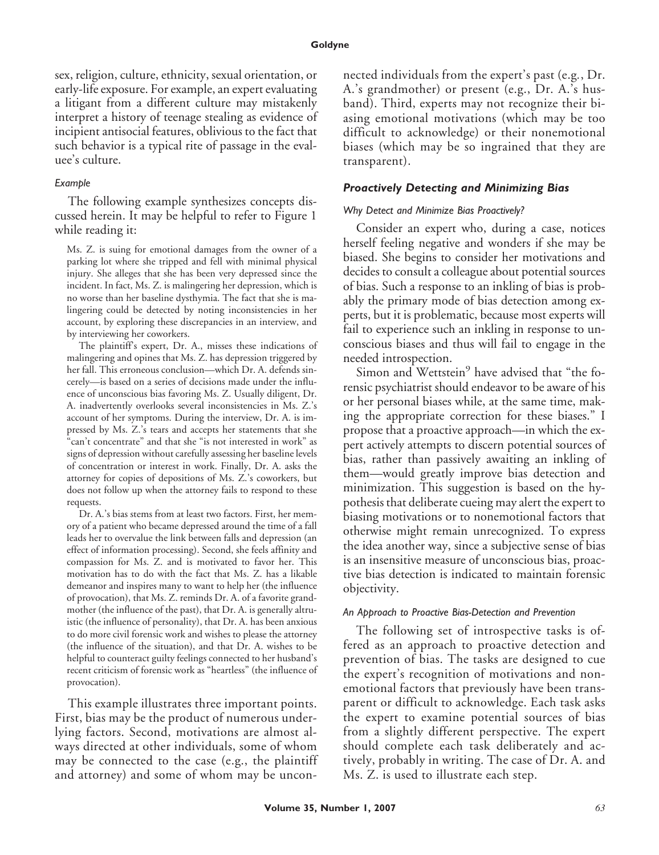sex, religion, culture, ethnicity, sexual orientation, or early-life exposure. For example, an expert evaluating a litigant from a different culture may mistakenly interpret a history of teenage stealing as evidence of incipient antisocial features, oblivious to the fact that such behavior is a typical rite of passage in the evaluee's culture.

### *Example*

The following example synthesizes concepts discussed herein. It may be helpful to refer to Figure 1 while reading it:

Ms. Z. is suing for emotional damages from the owner of a parking lot where she tripped and fell with minimal physical injury. She alleges that she has been very depressed since the incident. In fact, Ms. Z. is malingering her depression, which is no worse than her baseline dysthymia. The fact that she is malingering could be detected by noting inconsistencies in her account, by exploring these discrepancies in an interview, and by interviewing her coworkers.

The plaintiff's expert, Dr. A., misses these indications of malingering and opines that Ms. Z. has depression triggered by her fall. This erroneous conclusion—which Dr. A. defends sincerely—is based on a series of decisions made under the influence of unconscious bias favoring Ms. Z. Usually diligent, Dr. A. inadvertently overlooks several inconsistencies in Ms. Z.'s account of her symptoms. During the interview, Dr. A. is impressed by Ms. Z.'s tears and accepts her statements that she "can't concentrate" and that she "is not interested in work" as signs of depression without carefully assessing her baseline levels of concentration or interest in work. Finally, Dr. A. asks the attorney for copies of depositions of Ms. Z.'s coworkers, but does not follow up when the attorney fails to respond to these requests.

Dr. A.'s bias stems from at least two factors. First, her memory of a patient who became depressed around the time of a fall leads her to overvalue the link between falls and depression (an effect of information processing). Second, she feels affinity and compassion for Ms. Z. and is motivated to favor her. This motivation has to do with the fact that Ms. Z. has a likable demeanor and inspires many to want to help her (the influence of provocation), that Ms. Z. reminds Dr. A. of a favorite grandmother (the influence of the past), that Dr. A. is generally altruistic (the influence of personality), that Dr. A. has been anxious to do more civil forensic work and wishes to please the attorney (the influence of the situation), and that Dr. A. wishes to be helpful to counteract guilty feelings connected to her husband's recent criticism of forensic work as "heartless" (the influence of provocation).

This example illustrates three important points. First, bias may be the product of numerous underlying factors. Second, motivations are almost always directed at other individuals, some of whom may be connected to the case (e.g., the plaintiff and attorney) and some of whom may be unconnected individuals from the expert's past (e.g*.*, Dr. A.'s grandmother) or present (e.g., Dr. A.'s husband). Third, experts may not recognize their biasing emotional motivations (which may be too difficult to acknowledge) or their nonemotional biases (which may be so ingrained that they are transparent).

### *Proactively Detecting and Minimizing Bias*

#### *Why Detect and Minimize Bias Proactively?*

Consider an expert who, during a case, notices herself feeling negative and wonders if she may be biased. She begins to consider her motivations and decides to consult a colleague about potential sources of bias. Such a response to an inkling of bias is probably the primary mode of bias detection among experts, but it is problematic, because most experts will fail to experience such an inkling in response to unconscious biases and thus will fail to engage in the needed introspection.

Simon and Wettstein<sup>9</sup> have advised that "the forensic psychiatrist should endeavor to be aware of his or her personal biases while, at the same time, making the appropriate correction for these biases." I propose that a proactive approach—in which the expert actively attempts to discern potential sources of bias, rather than passively awaiting an inkling of them—would greatly improve bias detection and minimization. This suggestion is based on the hypothesis that deliberate cueing may alert the expert to biasing motivations or to nonemotional factors that otherwise might remain unrecognized. To express the idea another way, since a subjective sense of bias is an insensitive measure of unconscious bias, proactive bias detection is indicated to maintain forensic objectivity.

#### *An Approach to Proactive Bias-Detection and Prevention*

The following set of introspective tasks is offered as an approach to proactive detection and prevention of bias. The tasks are designed to cue the expert's recognition of motivations and nonemotional factors that previously have been transparent or difficult to acknowledge. Each task asks the expert to examine potential sources of bias from a slightly different perspective. The expert should complete each task deliberately and actively, probably in writing. The case of Dr. A. and Ms. Z. is used to illustrate each step.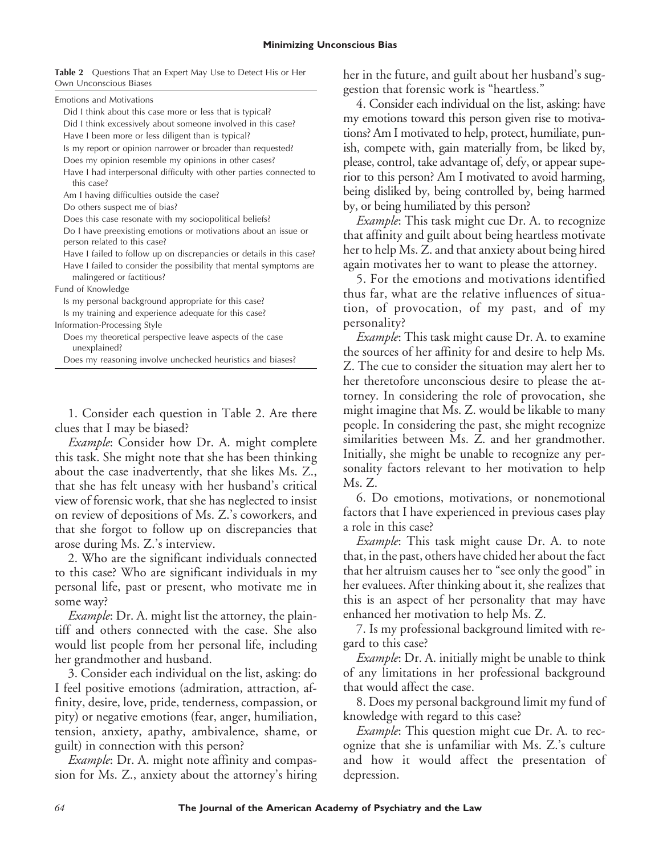**Table 2** Questions That an Expert May Use to Detect His or Her Own Unconscious Biases

| <b>Emotions and Motivations</b> |                                                                  |
|---------------------------------|------------------------------------------------------------------|
|                                 | Did I think about this case more or less that is typical?        |
|                                 | Field I defed accessived a straight season a familiar distribute |

Did I think excessively about someone involved in this case?

Have I been more or less diligent than is typical?

Is my report or opinion narrower or broader than requested?

Does my opinion resemble my opinions in other cases?

Have I had interpersonal difficulty with other parties connected to this case?

Am I having difficulties outside the case?

Do others suspect me of bias?

Does this case resonate with my sociopolitical beliefs?

Do I have preexisting emotions or motivations about an issue or person related to this case?

Have I failed to follow up on discrepancies or details in this case? Have I failed to consider the possibility that mental symptoms are malingered or factitious?

Fund of Knowledge

Is my personal background appropriate for this case?

Is my training and experience adequate for this case?

Information-Processing Style

Does my theoretical perspective leave aspects of the case unexplained?

Does my reasoning involve unchecked heuristics and biases?

1. Consider each question in Table 2. Are there clues that I may be biased?

*Example*: Consider how Dr. A. might complete this task. She might note that she has been thinking about the case inadvertently, that she likes Ms. Z., that she has felt uneasy with her husband's critical view of forensic work, that she has neglected to insist on review of depositions of Ms. Z.'s coworkers, and that she forgot to follow up on discrepancies that arose during Ms. Z.'s interview.

2. Who are the significant individuals connected to this case? Who are significant individuals in my personal life, past or present, who motivate me in some way?

*Example*: Dr. A. might list the attorney, the plaintiff and others connected with the case. She also would list people from her personal life, including her grandmother and husband.

3. Consider each individual on the list, asking: do I feel positive emotions (admiration, attraction, affinity, desire, love, pride, tenderness, compassion, or pity) or negative emotions (fear, anger, humiliation, tension, anxiety, apathy, ambivalence, shame, or guilt) in connection with this person?

*Example*: Dr. A. might note affinity and compassion for Ms. Z., anxiety about the attorney's hiring her in the future, and guilt about her husband's suggestion that forensic work is "heartless."

4. Consider each individual on the list, asking: have my emotions toward this person given rise to motivations? Am I motivated to help, protect, humiliate, punish, compete with, gain materially from, be liked by, please, control, take advantage of, defy, or appear superior to this person? Am I motivated to avoid harming, being disliked by, being controlled by, being harmed by, or being humiliated by this person?

*Example*: This task might cue Dr. A. to recognize that affinity and guilt about being heartless motivate her to help Ms. Z. and that anxiety about being hired again motivates her to want to please the attorney.

5. For the emotions and motivations identified thus far, what are the relative influences of situation, of provocation, of my past, and of my personality?

*Example*: This task might cause Dr. A. to examine the sources of her affinity for and desire to help Ms. Z. The cue to consider the situation may alert her to her theretofore unconscious desire to please the attorney. In considering the role of provocation, she might imagine that Ms. Z. would be likable to many people. In considering the past, she might recognize similarities between Ms. Z. and her grandmother. Initially, she might be unable to recognize any personality factors relevant to her motivation to help Ms. Z.

6. Do emotions, motivations, or nonemotional factors that I have experienced in previous cases play a role in this case?

*Example*: This task might cause Dr. A. to note that, in the past, others have chided her about the fact that her altruism causes her to "see only the good" in her evaluees. After thinking about it, she realizes that this is an aspect of her personality that may have enhanced her motivation to help Ms. Z.

7. Is my professional background limited with regard to this case?

*Example*: Dr. A. initially might be unable to think of any limitations in her professional background that would affect the case.

8. Does my personal background limit my fund of knowledge with regard to this case?

*Example*: This question might cue Dr. A. to recognize that she is unfamiliar with Ms. Z.'s culture and how it would affect the presentation of depression.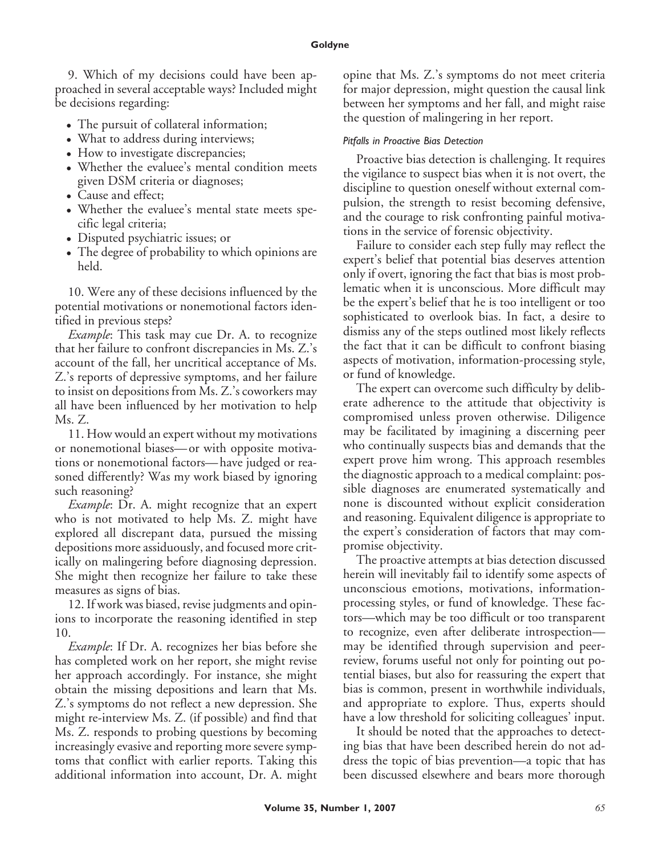9. Which of my decisions could have been approached in several acceptable ways? Included might be decisions regarding:

- The pursuit of collateral information;
- What to address during interviews;
- How to investigate discrepancies;
- Whether the evaluee's mental condition meets given DSM criteria or diagnoses;
- Cause and effect;
- Whether the evaluee's mental state meets specific legal criteria;
- Disputed psychiatric issues; or
- The degree of probability to which opinions are held.

10. Were any of these decisions influenced by the potential motivations or nonemotional factors identified in previous steps?

*Example*: This task may cue Dr. A. to recognize that her failure to confront discrepancies in Ms. Z.'s account of the fall, her uncritical acceptance of Ms. Z.'s reports of depressive symptoms, and her failure to insist on depositions from Ms. Z.'s coworkers may all have been influenced by her motivation to help Ms. Z.

11. How would an expert without my motivations or nonemotional biases—or with opposite motivations or nonemotional factors— have judged or reasoned differently? Was my work biased by ignoring such reasoning?

*Example*: Dr. A. might recognize that an expert who is not motivated to help Ms. Z. might have explored all discrepant data, pursued the missing depositions more assiduously, and focused more critically on malingering before diagnosing depression. She might then recognize her failure to take these measures as signs of bias.

12. If work was biased, revise judgments and opinions to incorporate the reasoning identified in step 10.

*Example*: If Dr. A. recognizes her bias before she has completed work on her report, she might revise her approach accordingly. For instance, she might obtain the missing depositions and learn that Ms. Z.'s symptoms do not reflect a new depression. She might re-interview Ms. Z. (if possible) and find that Ms. Z. responds to probing questions by becoming increasingly evasive and reporting more severe symptoms that conflict with earlier reports. Taking this additional information into account, Dr. A. might opine that Ms. Z.'s symptoms do not meet criteria for major depression, might question the causal link between her symptoms and her fall, and might raise the question of malingering in her report.

## *Pitfalls in Proactive Bias Detection*

Proactive bias detection is challenging. It requires the vigilance to suspect bias when it is not overt, the discipline to question oneself without external compulsion, the strength to resist becoming defensive, and the courage to risk confronting painful motivations in the service of forensic objectivity.

Failure to consider each step fully may reflect the expert's belief that potential bias deserves attention only if overt, ignoring the fact that bias is most problematic when it is unconscious. More difficult may be the expert's belief that he is too intelligent or too sophisticated to overlook bias. In fact, a desire to dismiss any of the steps outlined most likely reflects the fact that it can be difficult to confront biasing aspects of motivation, information-processing style, or fund of knowledge.

The expert can overcome such difficulty by deliberate adherence to the attitude that objectivity is compromised unless proven otherwise. Diligence may be facilitated by imagining a discerning peer who continually suspects bias and demands that the expert prove him wrong. This approach resembles the diagnostic approach to a medical complaint: possible diagnoses are enumerated systematically and none is discounted without explicit consideration and reasoning. Equivalent diligence is appropriate to the expert's consideration of factors that may compromise objectivity.

The proactive attempts at bias detection discussed herein will inevitably fail to identify some aspects of unconscious emotions, motivations, informationprocessing styles, or fund of knowledge. These factors—which may be too difficult or too transparent to recognize, even after deliberate introspection may be identified through supervision and peerreview, forums useful not only for pointing out potential biases, but also for reassuring the expert that bias is common, present in worthwhile individuals, and appropriate to explore. Thus, experts should have a low threshold for soliciting colleagues' input.

It should be noted that the approaches to detecting bias that have been described herein do not address the topic of bias prevention—a topic that has been discussed elsewhere and bears more thorough